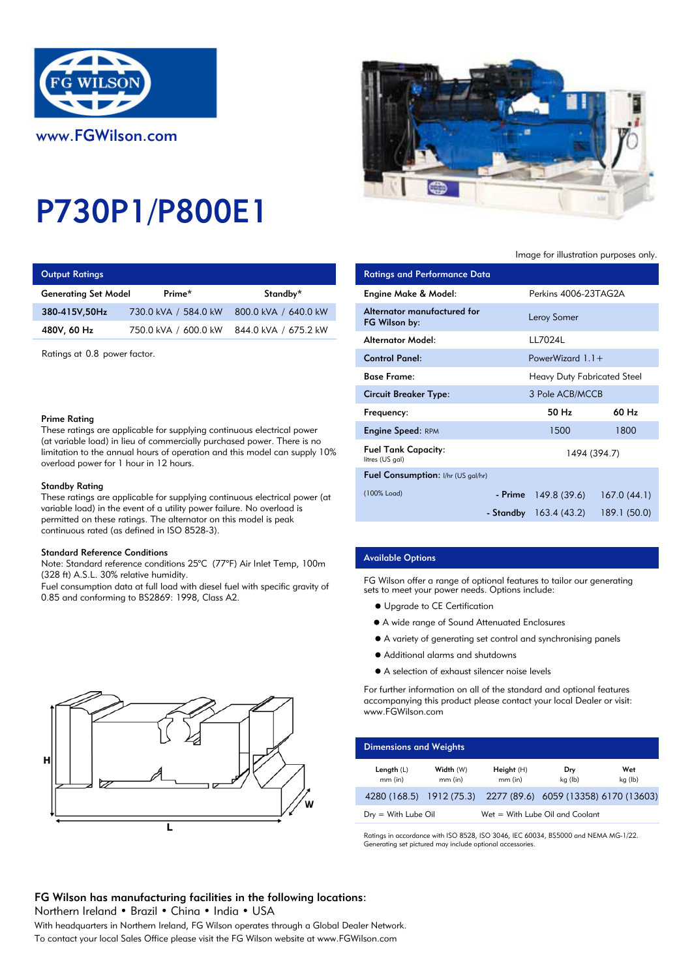

# P730P1/P800E1

|  | <b>Output Ratings</b> |  |
|--|-----------------------|--|
|  |                       |  |

| <b>Generating Set Model</b> | Prime*                                    | Standby*             | Engine Make & Model:       |
|-----------------------------|-------------------------------------------|----------------------|----------------------------|
| 380-415V.50Hz               | 730.0 kVA / 584.0 kW 800.0 kVA / 640.0 kW |                      | Alternator manufactur      |
| 480V, 60 Hz                 | 750.0 kVA / 600.0 kW                      | 844.0 kVA / 675.2 kW | FG Wilson by:              |
|                             |                                           |                      | والمامكة والمتعدد وتستحقان |

## Prime Rating

## Standby Rating

These ratings are applicable for supplying continuous electrical power (at variable load) in the event of a utility power failure. No overload is permitted on these ratings. The alternator on this model is peak continuous rated (as defined in ISO 8528-3).

#### Standard Reference Conditions

Note: Standard reference conditions 25°C (77°F) Air Inlet Temp, 100m (328 ft) A.S.L. 30% relative humidity.

Fuel consumption data at full load with diesel fuel with specific gravity of 0.85 and conforming to BS2869: 1998, Class A2.





# Image for illustration purposes only.

| <b>Output Ratings</b>                                                                                                                                                                          |                                                                                                                                            |                      | <b>Ratings and Performance Data</b>           |             |                                    |              |
|------------------------------------------------------------------------------------------------------------------------------------------------------------------------------------------------|--------------------------------------------------------------------------------------------------------------------------------------------|----------------------|-----------------------------------------------|-------------|------------------------------------|--------------|
| <b>Generating Set Model</b>                                                                                                                                                                    | Prime*                                                                                                                                     | Standby*             | Engine Make & Model:                          |             | Perkins 4006-23TAG2A               |              |
| 380-415V,50Hz                                                                                                                                                                                  | 730.0 kVA / 584.0 kW                                                                                                                       | 800.0 kVA / 640.0 kW | Alternator manufactured for<br>FG Wilson by:  |             | Leroy Somer                        |              |
| 480V, 60 Hz                                                                                                                                                                                    | 750.0 kVA / 600.0 kW                                                                                                                       | 844.0 kVA / 675.2 kW | <b>Alternator Model:</b>                      |             | LL7024L                            |              |
| Ratings at 0.8 power factor.<br>Prime Rating                                                                                                                                                   |                                                                                                                                            |                      | <b>Control Panel:</b>                         |             | PowerWizard $1.1+$                 |              |
|                                                                                                                                                                                                |                                                                                                                                            |                      | <b>Base Frame:</b>                            |             | <b>Heavy Duty Fabricated Steel</b> |              |
|                                                                                                                                                                                                |                                                                                                                                            |                      | <b>Circuit Breaker Type:</b>                  |             | 3 Pole ACB/MCCB                    |              |
|                                                                                                                                                                                                |                                                                                                                                            |                      | Frequency:                                    |             | 50 Hz                              | 60 Hz        |
|                                                                                                                                                                                                | These ratings are applicable for supplying continuous electrical power                                                                     |                      | <b>Engine Speed: RPM</b>                      |             | 1500                               | 1800         |
| (at variable load) in lieu of commercially purchased power. There is no<br>limitation to the annual hours of operation and this model can supply 10%<br>overload power for 1 hour in 12 hours. |                                                                                                                                            |                      | <b>Fuel Tank Capacity:</b><br>litres (US gal) |             |                                    | 1494 (394.7) |
|                                                                                                                                                                                                |                                                                                                                                            |                      | Fuel Consumption: I/hr (US gal/hr)            |             |                                    |              |
| Standby Rating<br>These ratings are applicable for supplying continuous electrical power (at                                                                                                   |                                                                                                                                            | (100% Load)          | - Prime                                       | 149.8(39.6) | 167.0(44.1)                        |              |
|                                                                                                                                                                                                | variable load) in the event of a utility power failure. No overload is<br>permitted on these ratinas. The alternator on this model is peak |                      |                                               | - Standby   | 163.4(43.2)                        | 189.1 (50.0) |

# Available Options

FG Wilson offer a range of optional features to tailor our generating sets to meet your power needs. Options include:

- $\bullet$  Upgrade to CE Certification
- A wide range of Sound Attenuated Enclosures
- A variety of generating set control and synchronising panels
- Additional alarms and shutdowns
- A selection of exhaust silencer noise levels

For further information on all of the standard and optional features accompanying this product please contact your local Dealer or visit: www.FGWilson.com

| <b>Dimensions and Weights</b> |                        |                         |                                                                |                |  |  |
|-------------------------------|------------------------|-------------------------|----------------------------------------------------------------|----------------|--|--|
| Length $(L)$<br>$mm$ (in)     | Width (W)<br>$mm$ (in) | Height (H)<br>$mm$ (in) | Dry<br>kg (lb)                                                 | Wet<br>kg (lb) |  |  |
|                               |                        |                         | 4280 (168.5) 1912 (75.3) 2277 (89.6) 6059 (13358) 6170 (13603) |                |  |  |
| $Drv = With Lube$ Oil         |                        |                         | Wet = With Lube Oil and Coolant                                |                |  |  |

Ratings in accordance with ISO 8528, ISO 3046, IEC 60034, BS5000 and NEMA MG-1/22. Generating set pictured may include optional accessories.

# FG Wilson has manufacturing facilities in the following locations:

Northern Ireland • Brazil • China • India • USA

With headquarters in Northern Ireland, FG Wilson operates through a Global Dealer Network. To contact your local Sales Office please visit the FG Wilson website at www.FGWilson.com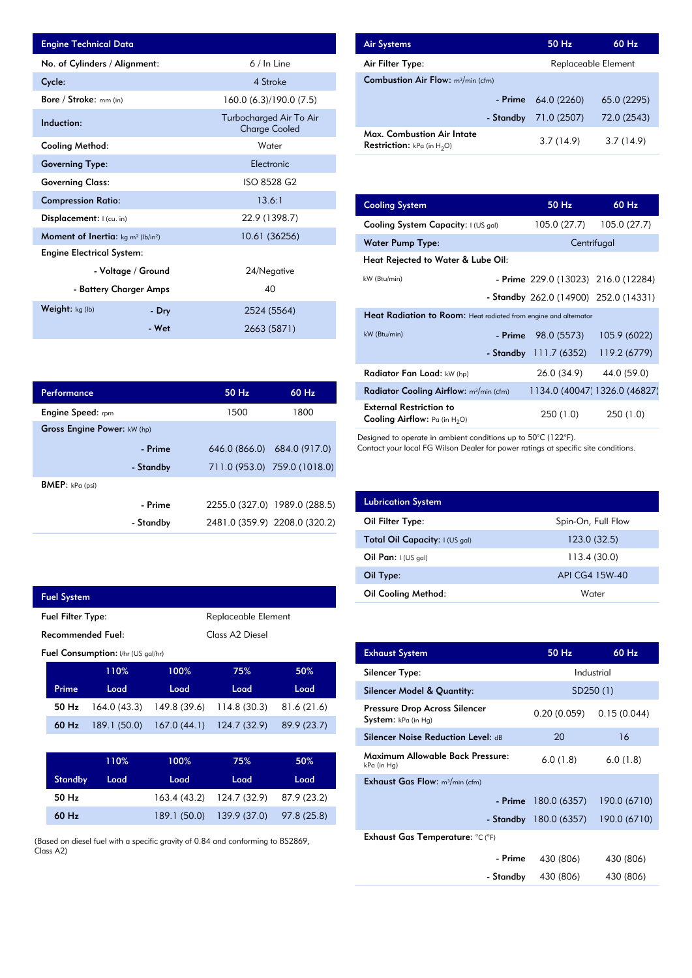| <b>Engine Technical Data</b>                               |                        |                                                 | <b>Air Systems</b>  |
|------------------------------------------------------------|------------------------|-------------------------------------------------|---------------------|
| No. of Cylinders / Alignment:                              |                        | $6/ln$ Line                                     | Air Filter Ty       |
| Cycle:                                                     |                        | 4 Stroke                                        | <b>Combustion</b>   |
| Bore / Stroke: mm (in)                                     |                        | 160.0 (6.3)/190.0 (7.5)                         |                     |
| Induction:                                                 |                        | Turbocharged Air To Air<br><b>Charge Cooled</b> | Max. Comb           |
| Cooling Method:                                            |                        | Water                                           | <b>Restriction:</b> |
| <b>Governing Type:</b>                                     |                        | Electronic                                      |                     |
| <b>Governing Class:</b>                                    |                        | ISO 8528 G2                                     |                     |
| <b>Compression Ratio:</b>                                  |                        | 13.6:1                                          | <b>Cooling Sys</b>  |
| Displacement:  (cu. in)                                    |                        | 22.9 (1398.7)                                   | <b>Cooling Sys</b>  |
| Moment of Inertia: kg m <sup>2</sup> (lb/in <sup>2</sup> ) |                        | 10.61 (36256)                                   | Water Pum           |
| <b>Engine Electrical System:</b>                           |                        |                                                 | <b>Heat Reject</b>  |
|                                                            | - Voltage / Ground     | 24/Negative                                     |                     |
|                                                            | - Battery Charger Amps | 40                                              | kW (Btu/min)        |
| Weight: kg (lb)                                            | - Dry                  | 2524 (5564)                                     | <b>Heat Radia</b>   |
|                                                            | - Wet                  | 2663 (5871)                                     | $kW$ (Btu/min)      |

| Performance                 |           | 50 Hz | $60$ Hz                       |
|-----------------------------|-----------|-------|-------------------------------|
| <b>Engine Speed:</b> rpm    |           | 1500  | 1800                          |
| Gross Engine Power: kW (hp) |           |       |                               |
|                             | - Prime   |       | 646.0 (866.0) 684.0 (917.0)   |
|                             | - Standby |       | 711.0 (953.0) 759.0 (1018.0)  |
| <b>BMEP:</b> $kPa$ (psi)    |           |       |                               |
|                             | - Prime   |       | 2255.0 (327.0) 1989.0 (288.5) |
|                             | - Standby |       | 2481.0 (359.9) 2208.0 (320.2) |

|                                                  | <b>Fuel System</b> |              |                    |             |             |  |  |
|--------------------------------------------------|--------------------|--------------|--------------------|-------------|-------------|--|--|
| Replaceable Element<br><b>Fuel Filter Type:</b>  |                    |              |                    |             |             |  |  |
| Recommended Fuel:<br>Class A <sub>2</sub> Diesel |                    |              |                    |             |             |  |  |
| Fuel Consumption: I/hr (US gal/hr)               |                    |              |                    |             |             |  |  |
|                                                  |                    | 110%         | 100%<br>50%<br>75% |             |             |  |  |
|                                                  | Prime              | Load         | Load               | Load        | Load        |  |  |
|                                                  | 50 Hz              | 164.0(43.3)  | 149.8 (39.6)       | 114.8(30.3) | 81.6(21.6)  |  |  |
|                                                  | $60$ Hz            | 189.1 (50.0) | 167.0(44.1)        | 124.7(32.9) | 89.9 (23.7) |  |  |
|                                                  |                    |              |                    |             |             |  |  |

|                | 110% | $100\%$ | 75%                                   | 50%  |
|----------------|------|---------|---------------------------------------|------|
| <b>Standby</b> | Load | Load    | Load                                  | Load |
| 50 Hz          |      |         | 163.4 (43.2) 124.7 (32.9) 87.9 (23.2) |      |
| $60$ Hz        |      |         | 189.1 (50.0) 139.9 (37.0) 97.8 (25.8) |      |

(Based on diesel fuel with a specific gravity of 0.84 and conforming to BS2869, Class A2)

| <b>Air Systems</b>                                                 | 50 Hz       | $60$ Hz             |  |
|--------------------------------------------------------------------|-------------|---------------------|--|
| Air Filter Type:                                                   |             | Replaceable Element |  |
| <b>Combustion Air Flow:</b> m <sup>3</sup> /min (cfm)              |             |                     |  |
| - Prime                                                            | 64.0 (2260) | 65.0 (2295)         |  |
| - Standby                                                          | 71.0 (2507) | 72.0 (2543)         |  |
| Max. Combustion Air Intate<br><b>Restriction:</b> kPa (in $H_2O$ ) | 3.7(14.9)   | 3.7(14.9)           |  |

| 13.6:1         | <b>Cooling System</b>                                                     | 50 Hz                                 | 60 Hz                         |  |  |
|----------------|---------------------------------------------------------------------------|---------------------------------------|-------------------------------|--|--|
| 22.9 (1398.7)  | Cooling System Capacity: I (US gal)                                       | 105.0 (27.7)                          | 105.0 (27.7)                  |  |  |
| 10.61 (36256)  | <b>Water Pump Type:</b>                                                   |                                       | Centrifugal                   |  |  |
|                | Heat Rejected to Water & Lube Oil:                                        |                                       |                               |  |  |
| 24/Negative    | kW (Btu/min)                                                              | - Prime 229.0 (13023) 216.0 (12284)   |                               |  |  |
| 40             |                                                                           | - Standby 262.0 (14900) 252.0 (14331) |                               |  |  |
| 2524 (5564)    | Heat Radiation to Room: Heat radiated from engine and alternator          |                                       |                               |  |  |
| 2663 (5871)    | kW (Btu/min)<br>- Prime                                                   | 98.0 (5573)                           | 105.9 (6022)                  |  |  |
|                | - Standby                                                                 | 111.7(6352)                           | 119.2 (6779)                  |  |  |
|                | Radiator Fan Load: kW (hp)                                                | 26.0 (34.9)                           | 44.0 (59.0)                   |  |  |
| 60 Hz<br>50 Hz | Radiator Cooling Airflow: m <sup>3</sup> /min (cfm)                       |                                       | 1134.0 (40047) 1326.0 (46827) |  |  |
| 1800<br>1500   | <b>External Restriction to</b><br><b>Cooling Airflow:</b> Pa (in $H_2O$ ) | 250 (1.0)                             | 250(1.0)                      |  |  |

Designed to operate in ambient conditions up to 50°C (122°F).

Contact your local FG Wilson Dealer for power ratings at specific site conditions.

| <b>Lubrication System</b>      |                    |
|--------------------------------|--------------------|
| Oil Filter Type:               | Spin-On, Full Flow |
| Total Oil Capacity: I (US gal) | 123.0 (32.5)       |
| Oil Pan: $1$ (US gal)          | 113.4 (30.0)       |
| Oil Type:                      | API CG4 15W-40     |
| <b>Oil Cooling Method:</b>     | Water              |

| <b>Exhaust System</b>                                | 50 Hz                   | 60 Hz        |
|------------------------------------------------------|-------------------------|--------------|
| Silencer Type:                                       |                         | Industrial   |
| Silencer Model & Quantity:                           |                         | SD250(1)     |
| Pressure Drop Across Silencer<br>System: kPa (in Hg) | 0.20 (0.059)            | 0.15(0.044)  |
| <b>Silencer Noise Reduction Level: dB</b>            | 20                      | 16           |
| Maximum Allowable Back Pressure:<br>kPa (in Hg)      | 6.0(1.8)                | 6.0(1.8)     |
| <b>Exhaust Gas Flow:</b> $m^3/m$ in (cfm)            |                         |              |
|                                                      | $-$ Prime 180.0 (6357)  | 190.0 (6710) |
|                                                      | - Standby $180.0(6357)$ | 190.0 (6710) |
| Exhaust Gas Temperature: °C (°F)                     |                         |              |
| - Prime                                              | 430 (806)               | 430 (806)    |
| - Standby                                            | 430 (806)               | 430 (806)    |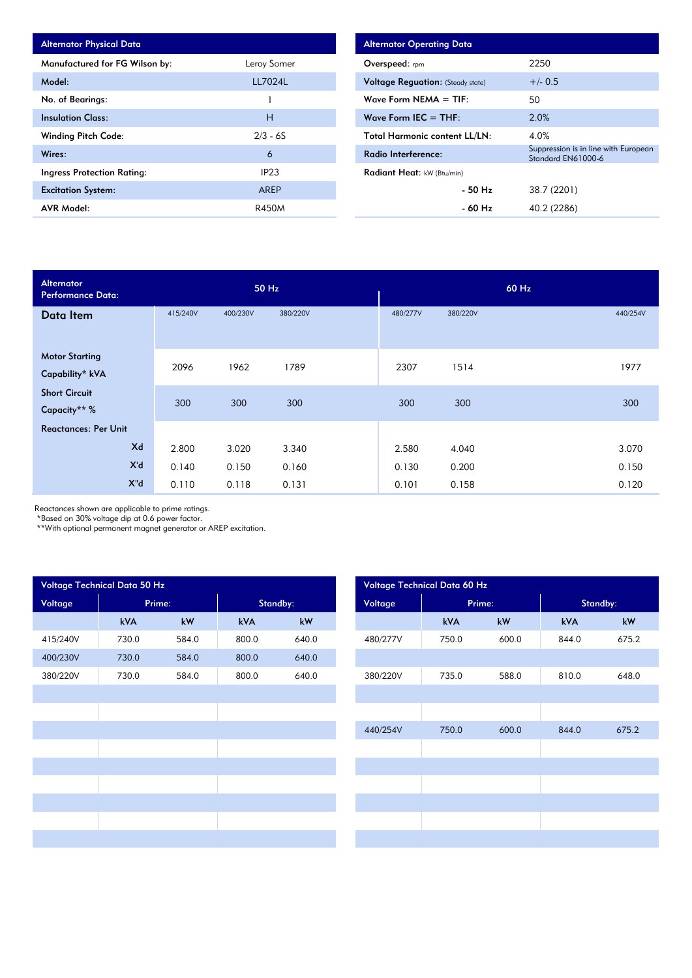| <b>Alternator Physical Data</b>   |             |
|-----------------------------------|-------------|
| Manufactured for FG Wilson by:    | Leroy Somer |
| Model:                            | LL7024L     |
| No. of Bearings:                  |             |
| <b>Insulation Class:</b>          | н           |
| <b>Winding Pitch Code:</b>        | $2/3 - 6S$  |
| Wires:                            | 6           |
| <b>Ingress Protection Rating:</b> | IP23        |
| <b>Excitation System:</b>         | AREP        |
| <b>AVR Model:</b>                 | R450M       |

| <b>Alternator Operating Data</b>         |                                                            |  |  |  |  |  |  |
|------------------------------------------|------------------------------------------------------------|--|--|--|--|--|--|
| <b>Overspeed:</b> rpm                    | 2250                                                       |  |  |  |  |  |  |
| <b>Voltage Requation:</b> (Steady state) | $+/- 0.5$                                                  |  |  |  |  |  |  |
| Wave Form NEMA $=$ TIF:                  | 50                                                         |  |  |  |  |  |  |
| Wave Form IEC $=$ THF:                   | 2.0%                                                       |  |  |  |  |  |  |
| <b>Total Harmonic content LL/LN:</b>     | 4.0%                                                       |  |  |  |  |  |  |
| Radio Interference:                      | Suppression is in line with European<br>Standard EN61000-6 |  |  |  |  |  |  |
| Radiant Heat: kW (Btu/min)               |                                                            |  |  |  |  |  |  |
| - 50 Hz                                  | 38.7 (2201)                                                |  |  |  |  |  |  |
| - 60 Hz                                  | 40.2 (2286)                                                |  |  |  |  |  |  |

| <b>Alternator</b><br><b>Performance Data:</b> |          | 50 Hz    |          | 60 Hz    |          |          |  |  |
|-----------------------------------------------|----------|----------|----------|----------|----------|----------|--|--|
| Data Item                                     | 415/240V | 400/230V | 380/220V | 480/277V | 380/220V | 440/254V |  |  |
|                                               |          |          |          |          |          |          |  |  |
| <b>Motor Starting</b>                         |          |          |          |          |          |          |  |  |
| Capability* kVA                               | 2096     | 1962     | 1789     | 2307     | 1514     | 1977     |  |  |
| <b>Short Circuit</b>                          |          |          |          |          |          |          |  |  |
| Capacity** %                                  | 300      | 300      | 300      | 300      | 300      | 300      |  |  |
| <b>Reactances: Per Unit</b>                   |          |          |          |          |          |          |  |  |
| Xd                                            | 2.800    | 3.020    | 3.340    | 2.580    | 4.040    | 3.070    |  |  |
| X'd                                           | 0.140    | 0.150    | 0.160    | 0.130    | 0.200    | 0.150    |  |  |
| X"d                                           | 0.110    | 0.118    | 0.131    | 0.101    | 0.158    | 0.120    |  |  |

Reactances shown are applicable to prime ratings.

\*Based on 30% voltage dip at 0.6 power factor.

\*\*With optional permanent magnet generator or AREP excitation.

|                   | Voltage Technical Data 50 Hz |          |       |         |          |        | Voltage Technical Data 60 Hz |       |
|-------------------|------------------------------|----------|-------|---------|----------|--------|------------------------------|-------|
| Voltage<br>Prime: |                              | Standby: |       | Voltage |          | Prime: | Standby:                     |       |
|                   | kVA                          | kW       | kVA   | kW      |          | kVA    | kW                           | kVA   |
| 415/240V          | 730.0                        | 584.0    | 800.0 | 640.0   | 480/277V | 750.0  | 600.0                        | 844.0 |
| 400/230V          | 730.0                        | 584.0    | 800.0 | 640.0   |          |        |                              |       |
| 380/220V          | 730.0                        | 584.0    | 800.0 | 640.0   | 380/220V | 735.0  | 588.0                        | 810.0 |
|                   |                              |          |       |         |          |        |                              |       |
|                   |                              |          |       |         |          |        |                              |       |
|                   |                              |          |       |         | 440/254V | 750.0  | 600.0                        | 844.0 |
|                   |                              |          |       |         |          |        |                              |       |
|                   |                              |          |       |         |          |        |                              |       |
|                   |                              |          |       |         |          |        |                              |       |
|                   |                              |          |       |         |          |        |                              |       |
|                   |                              |          |       |         |          |        |                              |       |
|                   |                              |          |       |         |          |        |                              |       |